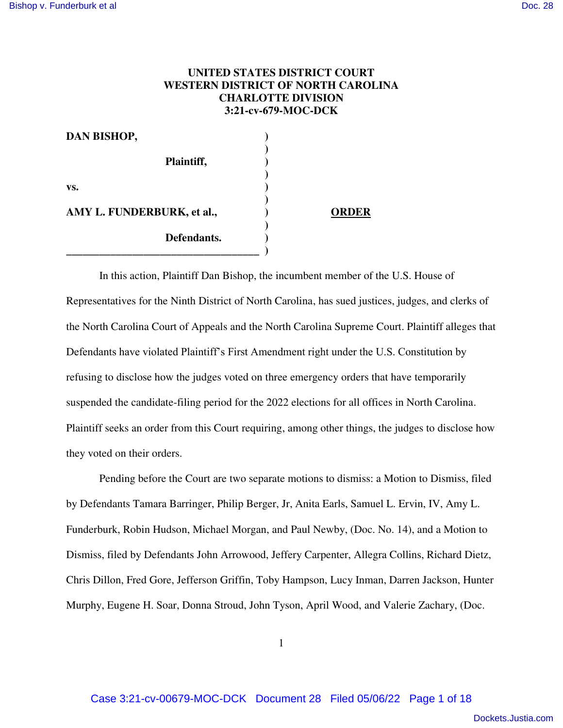# **UNITED STATES DISTRICT COURT WESTERN DISTRICT OF NORTH CAROLINA CHARLOTTE DIVISION 3:21-cv-679-MOC-DCK**

| <b>DAN BISHOP,</b>         |              |
|----------------------------|--------------|
| Plaintiff,                 |              |
|                            |              |
| VS.                        |              |
| AMY L. FUNDERBURK, et al., | <b>ORDER</b> |
| Defendants.                |              |
|                            |              |

In this action, Plaintiff Dan Bishop, the incumbent member of the U.S. House of Representatives for the Ninth District of North Carolina, has sued justices, judges, and clerks of the North Carolina Court of Appeals and the North Carolina Supreme Court. Plaintiff alleges that Defendants have violated Plaintiff's First Amendment right under the U.S. Constitution by refusing to disclose how the judges voted on three emergency orders that have temporarily suspended the candidate-filing period for the 2022 elections for all offices in North Carolina. Plaintiff seeks an order from this Court requiring, among other things, the judges to disclose how they voted on their orders.

Pending before the Court are two separate motions to dismiss: a Motion to Dismiss, filed by Defendants Tamara Barringer, Philip Berger, Jr, Anita Earls, Samuel L. Ervin, IV, Amy L. Funderburk, Robin Hudson, Michael Morgan, and Paul Newby, (Doc. No. 14), and a Motion to Dismiss, filed by Defendants John Arrowood, Jeffery Carpenter, Allegra Collins, Richard Dietz, Chris Dillon, Fred Gore, Jefferson Griffin, Toby Hampson, Lucy Inman, Darren Jackson, Hunter Murphy, Eugene H. Soar, Donna Stroud, John Tyson, April Wood, and Valerie Zachary, (Doc.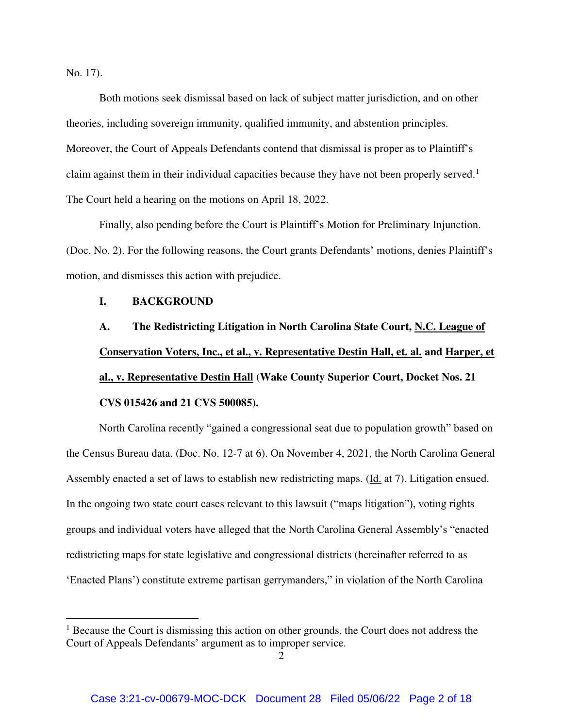No. 17).

 $\overline{a}$ 

Both motions seek dismissal based on lack of subject matter jurisdiction, and on other theories, including sovereign immunity, qualified immunity, and abstention principles. Moreover, the Court of Appeals Defendants contend that dismissal is proper as to Plaintiff's claim against them in their individual capacities because they have not been properly served.<sup>1</sup> The Court held a hearing on the motions on April 18, 2022.

Finally, also pending before the Court is Plaintiff's Motion for Preliminary Injunction. (Doc. No. 2). For the following reasons, the Court grants Defendants' motions, denies Plaintiff's motion, and dismisses this action with prejudice.

# **I. BACKGROUND**

**A. The Redistricting Litigation in North Carolina State Court, N.C. League of Conservation Voters, Inc., et al., v. Representative Destin Hall, et. al. and Harper, et al., v. Representative Destin Hall (Wake County Superior Court, Docket Nos. 21 CVS 015426 and 21 CVS 500085).** 

North Carolina recently "gained a congressional seat due to population growth" based on the Census Bureau data. (Doc. No. 12-7 at 6). On November 4, 2021, the North Carolina General Assembly enacted a set of laws to establish new redistricting maps. (Id. at 7). Litigation ensued. In the ongoing two state court cases relevant to this lawsuit ("maps litigation"), voting rights groups and individual voters have alleged that the North Carolina General Assembly's "enacted redistricting maps for state legislative and congressional districts (hereinafter referred to as 'Enacted Plans') constitute extreme partisan gerrymanders," in violation of the North Carolina

<sup>&</sup>lt;sup>1</sup> Because the Court is dismissing this action on other grounds, the Court does not address the Court of Appeals Defendants' argument as to improper service.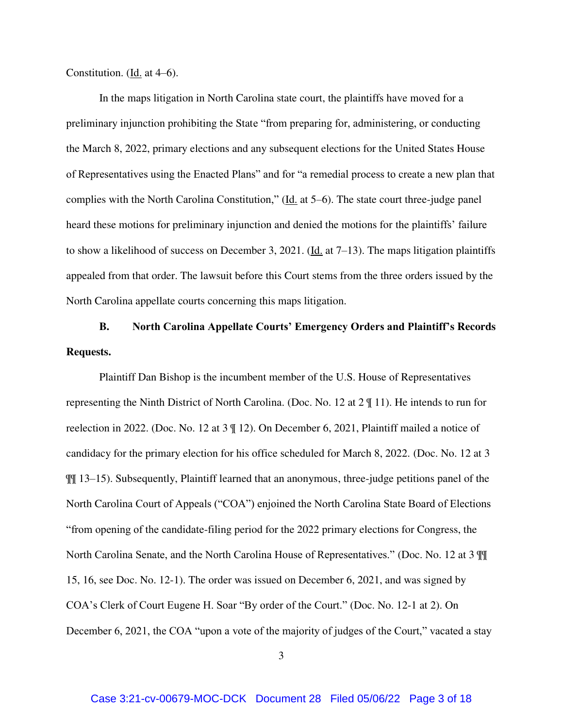Constitution. (Id. at  $4-6$ ).

In the maps litigation in North Carolina state court, the plaintiffs have moved for a preliminary injunction prohibiting the State "from preparing for, administering, or conducting the March 8, 2022, primary elections and any subsequent elections for the United States House of Representatives using the Enacted Plans" and for "a remedial process to create a new plan that complies with the North Carolina Constitution," (Id. at 5–6). The state court three-judge panel heard these motions for preliminary injunction and denied the motions for the plaintiffs' failure to show a likelihood of success on December 3, 2021. (Id. at 7–13). The maps litigation plaintiffs appealed from that order. The lawsuit before this Court stems from the three orders issued by the North Carolina appellate courts concerning this maps litigation.

**B. North Carolina Appellate Courts' Emergency Orders and Plaintiff's Records Requests.** 

Plaintiff Dan Bishop is the incumbent member of the U.S. House of Representatives representing the Ninth District of North Carolina. (Doc. No. 12 at 2 ¶ 11). He intends to run for reelection in 2022. (Doc. No. 12 at 3 ¶ 12). On December 6, 2021, Plaintiff mailed a notice of candidacy for the primary election for his office scheduled for March 8, 2022. (Doc. No. 12 at 3 ¶¶ 13–15). Subsequently, Plaintiff learned that an anonymous, three-judge petitions panel of the North Carolina Court of Appeals ("COA") enjoined the North Carolina State Board of Elections "from opening of the candidate-filing period for the 2022 primary elections for Congress, the North Carolina Senate, and the North Carolina House of Representatives." (Doc. No. 12 at 3 ¶¶ 15, 16, see Doc. No. 12-1). The order was issued on December 6, 2021, and was signed by COA's Clerk of Court Eugene H. Soar "By order of the Court." (Doc. No. 12-1 at 2). On December 6, 2021, the COA "upon a vote of the majority of judges of the Court," vacated a stay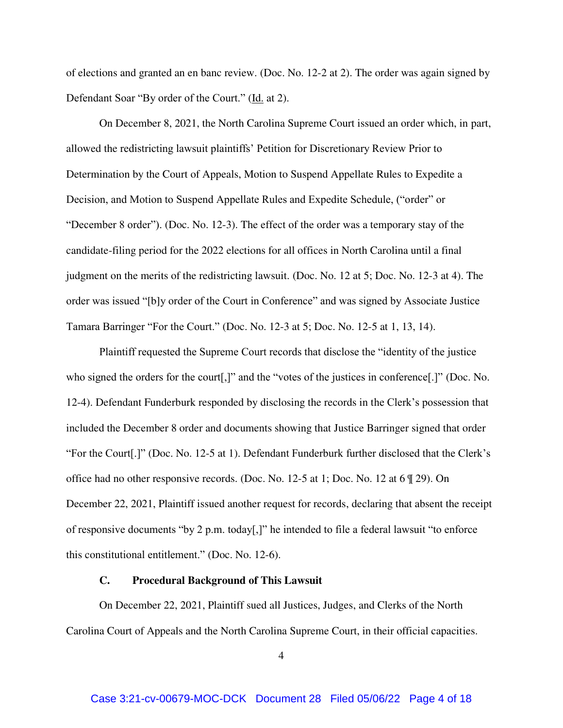of elections and granted an en banc review. (Doc. No. 12-2 at 2). The order was again signed by Defendant Soar "By order of the Court." (Id. at 2).

On December 8, 2021, the North Carolina Supreme Court issued an order which, in part, allowed the redistricting lawsuit plaintiffs' Petition for Discretionary Review Prior to Determination by the Court of Appeals, Motion to Suspend Appellate Rules to Expedite a Decision, and Motion to Suspend Appellate Rules and Expedite Schedule, ("order" or "December 8 order"). (Doc. No. 12-3). The effect of the order was a temporary stay of the candidate-filing period for the 2022 elections for all offices in North Carolina until a final judgment on the merits of the redistricting lawsuit. (Doc. No. 12 at 5; Doc. No. 12-3 at 4). The order was issued "[b]y order of the Court in Conference" and was signed by Associate Justice Tamara Barringer "For the Court." (Doc. No. 12-3 at 5; Doc. No. 12-5 at 1, 13, 14).

Plaintiff requested the Supreme Court records that disclose the "identity of the justice who signed the orders for the court[,]" and the "votes of the justices in conference[.]" (Doc. No. 12-4). Defendant Funderburk responded by disclosing the records in the Clerk's possession that included the December 8 order and documents showing that Justice Barringer signed that order "For the Court[.]" (Doc. No. 12-5 at 1). Defendant Funderburk further disclosed that the Clerk's office had no other responsive records. (Doc. No. 12-5 at 1; Doc. No. 12 at 6 ¶ 29). On December 22, 2021, Plaintiff issued another request for records, declaring that absent the receipt of responsive documents "by 2 p.m. today[,]" he intended to file a federal lawsuit "to enforce this constitutional entitlement." (Doc. No. 12-6).

#### **C. Procedural Background of This Lawsuit**

On December 22, 2021, Plaintiff sued all Justices, Judges, and Clerks of the North Carolina Court of Appeals and the North Carolina Supreme Court, in their official capacities.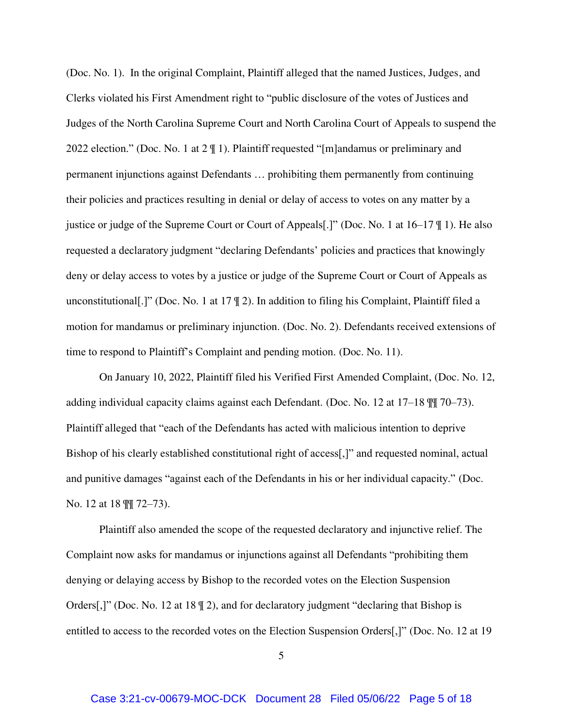(Doc. No. 1). In the original Complaint, Plaintiff alleged that the named Justices, Judges, and Clerks violated his First Amendment right to "public disclosure of the votes of Justices and Judges of the North Carolina Supreme Court and North Carolina Court of Appeals to suspend the 2022 election." (Doc. No. 1 at 2 ¶ 1). Plaintiff requested "[m]andamus or preliminary and permanent injunctions against Defendants … prohibiting them permanently from continuing their policies and practices resulting in denial or delay of access to votes on any matter by a justice or judge of the Supreme Court or Court of Appeals[.]" (Doc. No. 1 at 16–17 ¶ 1). He also requested a declaratory judgment "declaring Defendants' policies and practices that knowingly deny or delay access to votes by a justice or judge of the Supreme Court or Court of Appeals as unconstitutional[.]" (Doc. No. 1 at 17 ¶ 2). In addition to filing his Complaint, Plaintiff filed a motion for mandamus or preliminary injunction. (Doc. No. 2). Defendants received extensions of time to respond to Plaintiff's Complaint and pending motion. (Doc. No. 11).

On January 10, 2022, Plaintiff filed his Verified First Amended Complaint, (Doc. No. 12, adding individual capacity claims against each Defendant. (Doc. No. 12 at 17–18 ¶¶ 70–73). Plaintiff alleged that "each of the Defendants has acted with malicious intention to deprive Bishop of his clearly established constitutional right of access[,]" and requested nominal, actual and punitive damages "against each of the Defendants in his or her individual capacity." (Doc. No. 12 at 18 ¶¶ 72–73).

Plaintiff also amended the scope of the requested declaratory and injunctive relief. The Complaint now asks for mandamus or injunctions against all Defendants "prohibiting them denying or delaying access by Bishop to the recorded votes on the Election Suspension Orders[,]" (Doc. No. 12 at 18  $\parallel$  2), and for declaratory judgment "declaring that Bishop is entitled to access to the recorded votes on the Election Suspension Orders[,]" (Doc. No. 12 at 19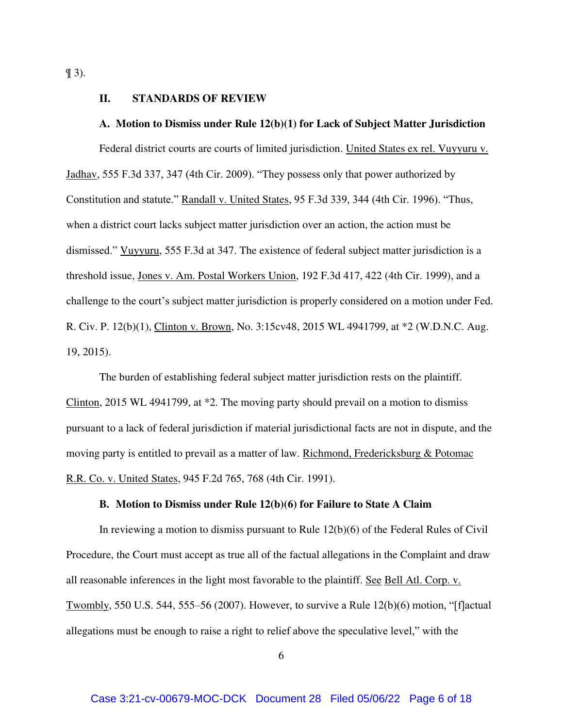$\P$  3).

#### **II. STANDARDS OF REVIEW**

## **A. Motion to Dismiss under Rule 12(b)(1) for Lack of Subject Matter Jurisdiction**

Federal district courts are courts of limited jurisdiction. United States ex rel. Vuyyuru v. Jadhav, 555 F.3d 337, 347 (4th Cir. 2009). "They possess only that power authorized by Constitution and statute." Randall v. United States, 95 F.3d 339, 344 (4th Cir. 1996). "Thus, when a district court lacks subject matter jurisdiction over an action, the action must be dismissed." Vuyyuru, 555 F.3d at 347. The existence of federal subject matter jurisdiction is a threshold issue, Jones v. Am. Postal Workers Union, 192 F.3d 417, 422 (4th Cir. 1999), and a challenge to the court's subject matter jurisdiction is properly considered on a motion under Fed. R. Civ. P. 12(b)(1), Clinton v. Brown, No. 3:15cv48, 2015 WL 4941799, at \*2 (W.D.N.C. Aug. 19, 2015).

The burden of establishing federal subject matter jurisdiction rests on the plaintiff. Clinton, 2015 WL 4941799, at \*2. The moving party should prevail on a motion to dismiss pursuant to a lack of federal jurisdiction if material jurisdictional facts are not in dispute, and the moving party is entitled to prevail as a matter of law. Richmond, Fredericksburg & Potomac R.R. Co. v. United States, 945 F.2d 765, 768 (4th Cir. 1991).

## **B. Motion to Dismiss under Rule 12(b)(6) for Failure to State A Claim**

In reviewing a motion to dismiss pursuant to Rule 12(b)(6) of the Federal Rules of Civil Procedure, the Court must accept as true all of the factual allegations in the Complaint and draw all reasonable inferences in the light most favorable to the plaintiff. See Bell Atl. Corp. v. Twombly, 550 U.S. 544, 555–56 (2007). However, to survive a Rule  $12(b)(6)$  motion, "[f]actual allegations must be enough to raise a right to relief above the speculative level," with the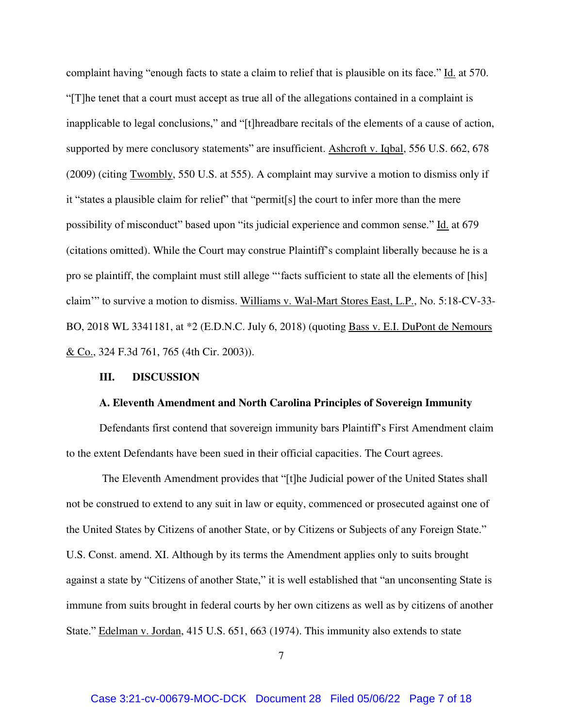complaint having "enough facts to state a claim to relief that is plausible on its face." Id. at 570. "[T]he tenet that a court must accept as true all of the allegations contained in a complaint is inapplicable to legal conclusions," and "[t]hreadbare recitals of the elements of a cause of action, supported by mere conclusory statements" are insufficient. Ashcroft v. Iqbal, 556 U.S. 662, 678 (2009) (citing Twombly, 550 U.S. at 555). A complaint may survive a motion to dismiss only if it "states a plausible claim for relief" that "permit<sup>[s]</sup> the court to infer more than the mere possibility of misconduct" based upon "its judicial experience and common sense." Id. at 679 (citations omitted). While the Court may construe Plaintiff's complaint liberally because he is a pro se plaintiff, the complaint must still allege "'facts sufficient to state all the elements of [his] claim'" to survive a motion to dismiss. Williams v. Wal-Mart Stores East, L.P., No. 5:18-CV-33- BO, 2018 WL 3341181, at \*2 (E.D.N.C. July 6, 2018) (quoting Bass v. E.I. DuPont de Nemours <u>& Co.</u>, 324 F.3d 761, 765 (4th Cir. 2003)).

#### **III. DISCUSSION**

#### **A. Eleventh Amendment and North Carolina Principles of Sovereign Immunity**

Defendants first contend that sovereign immunity bars Plaintiff's First Amendment claim to the extent Defendants have been sued in their official capacities. The Court agrees.

The Eleventh Amendment provides that "[t]he Judicial power of the United States shall not be construed to extend to any suit in law or equity, commenced or prosecuted against one of the United States by Citizens of another State, or by Citizens or Subjects of any Foreign State." U.S. Const. amend. XI. Although by its terms the Amendment applies only to suits brought against a state by "Citizens of another State," it is well established that "an unconsenting State is immune from suits brought in federal courts by her own citizens as well as by citizens of another State." Edelman v. Jordan, 415 U.S. 651, 663 (1974). This immunity also extends to state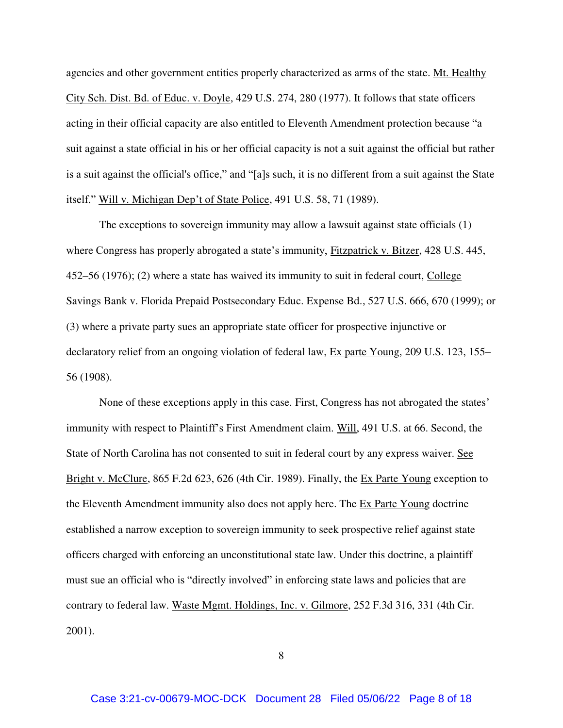agencies and other government entities properly characterized as arms of the state. Mt. Healthy City Sch. Dist. Bd. of Educ. v. Doyle, 429 U.S. 274, 280 (1977). It follows that state officers acting in their official capacity are also entitled to Eleventh Amendment protection because "a suit against a state official in his or her official capacity is not a suit against the official but rather is a suit against the official's office," and "[a]s such, it is no different from a suit against the State itself." Will v. Michigan Dep't of State Police, 491 U.S. 58, 71 (1989).

The exceptions to sovereign immunity may allow a lawsuit against state officials (1) where Congress has properly abrogated a state's immunity, Fitzpatrick v. Bitzer, 428 U.S. 445, 452–56 (1976); (2) where a state has waived its immunity to suit in federal court, College Savings Bank v. Florida Prepaid Postsecondary Educ. Expense Bd., 527 U.S. 666, 670 (1999); or (3) where a private party sues an appropriate state officer for prospective injunctive or declaratory relief from an ongoing violation of federal law, Ex parte Young, 209 U.S. 123, 155– 56 (1908).

None of these exceptions apply in this case. First, Congress has not abrogated the states' immunity with respect to Plaintiff's First Amendment claim. Will, 491 U.S. at 66. Second, the State of North Carolina has not consented to suit in federal court by any express waiver. See Bright v. McClure, 865 F.2d 623, 626 (4th Cir. 1989). Finally, the Ex Parte Young exception to the Eleventh Amendment immunity also does not apply here. The Ex Parte Young doctrine established a narrow exception to sovereign immunity to seek prospective relief against state officers charged with enforcing an unconstitutional state law. Under this doctrine, a plaintiff must sue an official who is "directly involved" in enforcing state laws and policies that are contrary to federal law. Waste Mgmt. Holdings, Inc. v. Gilmore, 252 F.3d 316, 331 (4th Cir. 2001).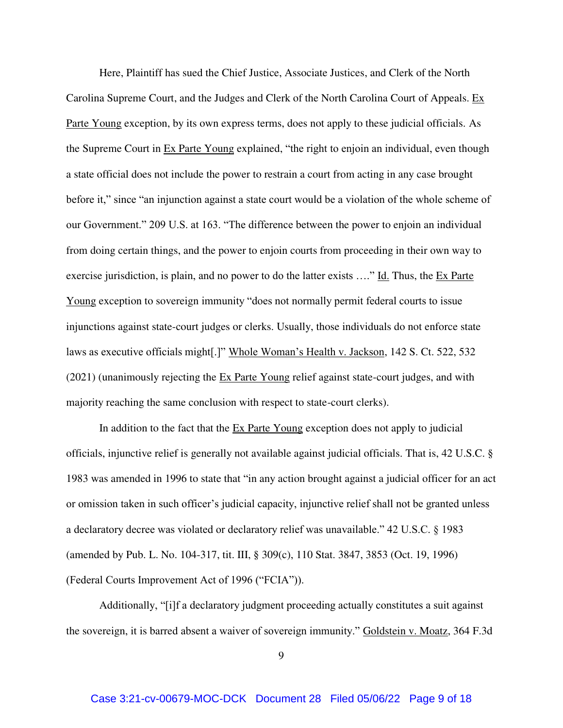Here, Plaintiff has sued the Chief Justice, Associate Justices, and Clerk of the North Carolina Supreme Court, and the Judges and Clerk of the North Carolina Court of Appeals. Ex Parte Young exception, by its own express terms, does not apply to these judicial officials. As the Supreme Court in Ex Parte Young explained, "the right to enjoin an individual, even though a state official does not include the power to restrain a court from acting in any case brought before it," since "an injunction against a state court would be a violation of the whole scheme of our Government." 209 U.S. at 163. "The difference between the power to enjoin an individual from doing certain things, and the power to enjoin courts from proceeding in their own way to exercise jurisdiction, is plain, and no power to do the latter exists  $\ldots$ " Id. Thus, the Ex Parte Young exception to sovereign immunity "does not normally permit federal courts to issue injunctions against state-court judges or clerks. Usually, those individuals do not enforce state laws as executive officials might[.]" Whole Woman's Health v. Jackson, 142 S. Ct. 522, 532 (2021) (unanimously rejecting the Ex Parte Young relief against state-court judges, and with majority reaching the same conclusion with respect to state-court clerks).

In addition to the fact that the  $Ex$  Parte Young exception does not apply to judicial officials, injunctive relief is generally not available against judicial officials. That is, 42 U.S.C. § 1983 was amended in 1996 to state that "in any action brought against a judicial officer for an act or omission taken in such officer's judicial capacity, injunctive relief shall not be granted unless a declaratory decree was violated or declaratory relief was unavailable." 42 U.S.C. § 1983 (amended by Pub. L. No. 104-317, tit. III, § 309(c), 110 Stat. 3847, 3853 (Oct. 19, 1996) (Federal Courts Improvement Act of 1996 ("FCIA")).

Additionally, "[i]f a declaratory judgment proceeding actually constitutes a suit against the sovereign, it is barred absent a waiver of sovereign immunity." Goldstein v. Moatz, 364 F.3d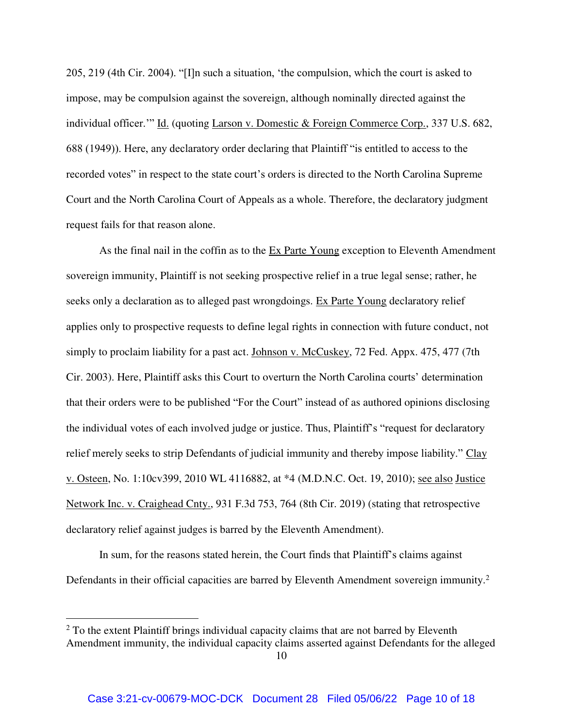205, 219 (4th Cir. 2004). "[I]n such a situation, 'the compulsion, which the court is asked to impose, may be compulsion against the sovereign, although nominally directed against the individual officer.'" Id. (quoting Larson v. Domestic & Foreign Commerce Corp., 337 U.S. 682, 688 (1949)). Here, any declaratory order declaring that Plaintiff "is entitled to access to the recorded votes" in respect to the state court's orders is directed to the North Carolina Supreme Court and the North Carolina Court of Appeals as a whole. Therefore, the declaratory judgment request fails for that reason alone.

As the final nail in the coffin as to the Ex Parte Young exception to Eleventh Amendment sovereign immunity, Plaintiff is not seeking prospective relief in a true legal sense; rather, he seeks only a declaration as to alleged past wrongdoings. Ex Parte Young declaratory relief applies only to prospective requests to define legal rights in connection with future conduct, not simply to proclaim liability for a past act. Johnson v. McCuskey, 72 Fed. Appx. 475, 477 (7th Cir. 2003). Here, Plaintiff asks this Court to overturn the North Carolina courts' determination that their orders were to be published "For the Court" instead of as authored opinions disclosing the individual votes of each involved judge or justice. Thus, Plaintiff's "request for declaratory relief merely seeks to strip Defendants of judicial immunity and thereby impose liability." Clay v. Osteen, No. 1:10cv399, 2010 WL 4116882, at \*4 (M.D.N.C. Oct. 19, 2010); see also Justice Network Inc. v. Craighead Cnty., 931 F.3d 753, 764 (8th Cir. 2019) (stating that retrospective declaratory relief against judges is barred by the Eleventh Amendment).

In sum, for the reasons stated herein, the Court finds that Plaintiff's claims against Defendants in their official capacities are barred by Eleventh Amendment sovereign immunity.<sup>2</sup>

 $\overline{a}$ 

 $2$  To the extent Plaintiff brings individual capacity claims that are not barred by Eleventh Amendment immunity, the individual capacity claims asserted against Defendants for the alleged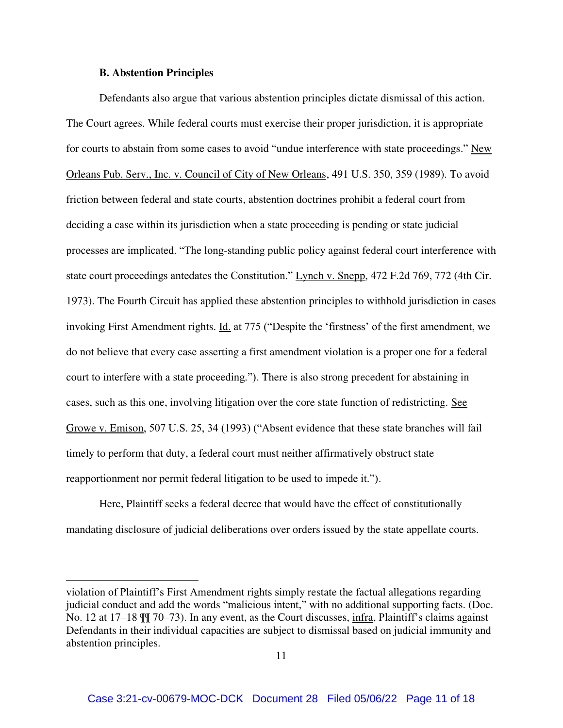#### **B. Abstention Principles**

 $\overline{a}$ 

Defendants also argue that various abstention principles dictate dismissal of this action. The Court agrees. While federal courts must exercise their proper jurisdiction, it is appropriate for courts to abstain from some cases to avoid "undue interference with state proceedings." New Orleans Pub. Serv., Inc. v. Council of City of New Orleans, 491 U.S. 350, 359 (1989). To avoid friction between federal and state courts, abstention doctrines prohibit a federal court from deciding a case within its jurisdiction when a state proceeding is pending or state judicial processes are implicated. "The long-standing public policy against federal court interference with state court proceedings antedates the Constitution." Lynch v. Snepp, 472 F.2d 769, 772 (4th Cir. 1973). The Fourth Circuit has applied these abstention principles to withhold jurisdiction in cases invoking First Amendment rights. Id. at 775 ("Despite the 'firstness' of the first amendment, we do not believe that every case asserting a first amendment violation is a proper one for a federal court to interfere with a state proceeding."). There is also strong precedent for abstaining in cases, such as this one, involving litigation over the core state function of redistricting. See Growe v. Emison, 507 U.S. 25, 34 (1993) ("Absent evidence that these state branches will fail timely to perform that duty, a federal court must neither affirmatively obstruct state reapportionment nor permit federal litigation to be used to impede it.").

Here, Plaintiff seeks a federal decree that would have the effect of constitutionally mandating disclosure of judicial deliberations over orders issued by the state appellate courts.

violation of Plaintiff's First Amendment rights simply restate the factual allegations regarding judicial conduct and add the words "malicious intent," with no additional supporting facts. (Doc. No. 12 at 17–18 ¶¶ 70–73). In any event, as the Court discusses, infra, Plaintiff's claims against Defendants in their individual capacities are subject to dismissal based on judicial immunity and abstention principles.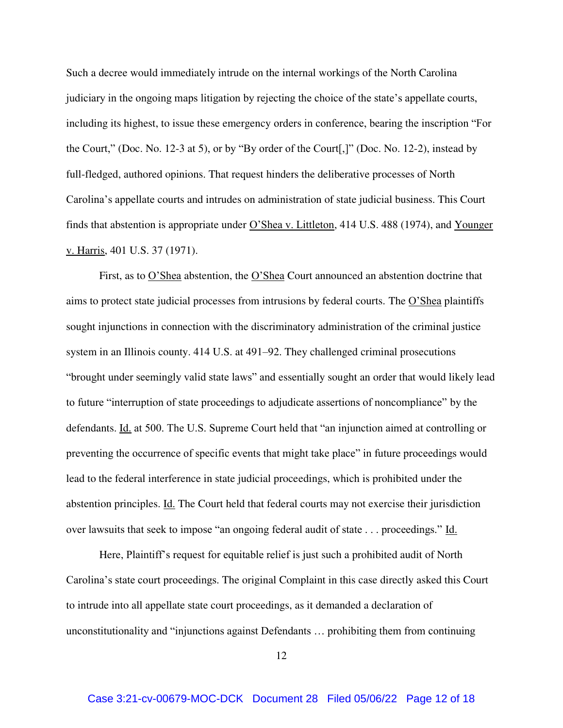Such a decree would immediately intrude on the internal workings of the North Carolina judiciary in the ongoing maps litigation by rejecting the choice of the state's appellate courts, including its highest, to issue these emergency orders in conference, bearing the inscription "For the Court," (Doc. No. 12-3 at 5), or by "By order of the Court[,]" (Doc. No. 12-2), instead by full-fledged, authored opinions. That request hinders the deliberative processes of North Carolina's appellate courts and intrudes on administration of state judicial business. This Court finds that abstention is appropriate under O'Shea v. Littleton, 414 U.S. 488 (1974), and Younger v. Harris, 401 U.S. 37 (1971).

First, as to <u>O'Shea</u> abstention, the <u>O'Shea</u> Court announced an abstention doctrine that aims to protect state judicial processes from intrusions by federal courts. The O'Shea plaintiffs sought injunctions in connection with the discriminatory administration of the criminal justice system in an Illinois county. 414 U.S. at 491–92. They challenged criminal prosecutions "brought under seemingly valid state laws" and essentially sought an order that would likely lead to future "interruption of state proceedings to adjudicate assertions of noncompliance" by the defendants. Id. at 500. The U.S. Supreme Court held that "an injunction aimed at controlling or preventing the occurrence of specific events that might take place" in future proceedings would lead to the federal interference in state judicial proceedings, which is prohibited under the abstention principles. Id. The Court held that federal courts may not exercise their jurisdiction over lawsuits that seek to impose "an ongoing federal audit of state . . . proceedings." Id.

Here, Plaintiff's request for equitable relief is just such a prohibited audit of North Carolina's state court proceedings. The original Complaint in this case directly asked this Court to intrude into all appellate state court proceedings, as it demanded a declaration of unconstitutionality and "injunctions against Defendants … prohibiting them from continuing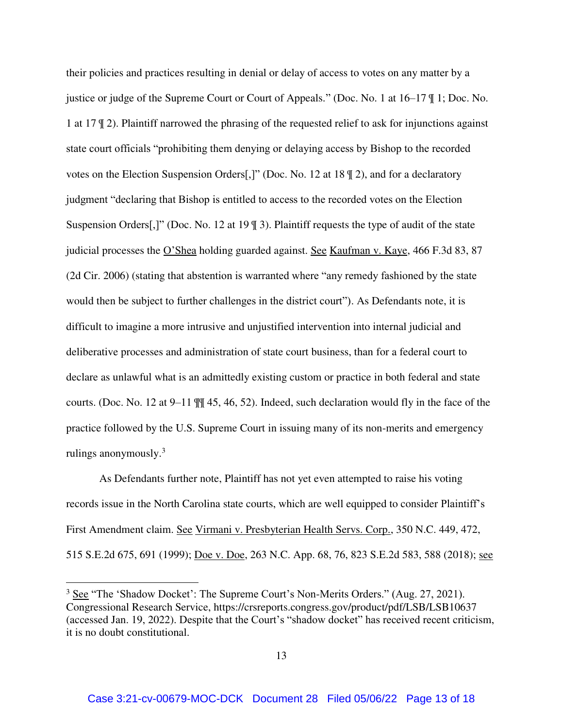their policies and practices resulting in denial or delay of access to votes on any matter by a justice or judge of the Supreme Court or Court of Appeals." (Doc. No. 1 at 16–17 ¶ 1; Doc. No. 1 at 17 ¶ 2). Plaintiff narrowed the phrasing of the requested relief to ask for injunctions against state court officials "prohibiting them denying or delaying access by Bishop to the recorded votes on the Election Suspension Orders[,]" (Doc. No. 12 at 18 ¶ 2), and for a declaratory judgment "declaring that Bishop is entitled to access to the recorded votes on the Election Suspension Orders[,]" (Doc. No. 12 at 19 ¶ 3). Plaintiff requests the type of audit of the state judicial processes the O'Shea holding guarded against. See Kaufman v. Kaye, 466 F.3d 83, 87 (2d Cir. 2006) (stating that abstention is warranted where "any remedy fashioned by the state would then be subject to further challenges in the district court"). As Defendants note, it is difficult to imagine a more intrusive and unjustified intervention into internal judicial and deliberative processes and administration of state court business, than for a federal court to declare as unlawful what is an admittedly existing custom or practice in both federal and state courts. (Doc. No. 12 at 9–11 ¶¶ 45, 46, 52). Indeed, such declaration would fly in the face of the practice followed by the U.S. Supreme Court in issuing many of its non-merits and emergency rulings anonymously.<sup>3</sup>

As Defendants further note, Plaintiff has not yet even attempted to raise his voting records issue in the North Carolina state courts, which are well equipped to consider Plaintiff's First Amendment claim. See Virmani v. Presbyterian Health Servs. Corp., 350 N.C. 449, 472, 515 S.E.2d 675, 691 (1999); <u>Doe v. Doe</u>, 263 N.C. App. 68, 76, 823 S.E.2d 583, 588 (2018); <u>see</u>

 $\overline{a}$ 

<sup>&</sup>lt;sup>3</sup> See "The 'Shadow Docket': The Supreme Court's Non-Merits Orders." (Aug. 27, 2021). Congressional Research Service, https://crsreports.congress.gov/product/pdf/LSB/LSB10637 (accessed Jan. 19, 2022). Despite that the Court's "shadow docket" has received recent criticism, it is no doubt constitutional.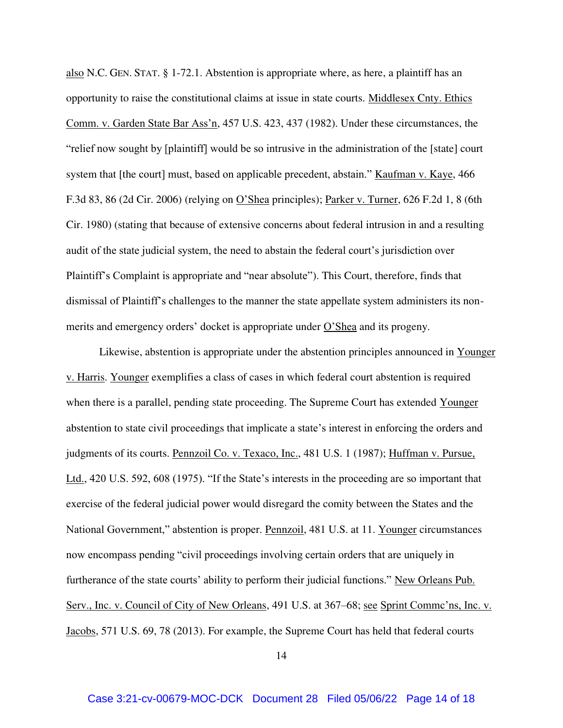also N.C. GEN. STAT. § 1-72.1. Abstention is appropriate where, as here, a plaintiff has an opportunity to raise the constitutional claims at issue in state courts. Middlesex Cnty. Ethics Comm. v. Garden State Bar Ass'n, 457 U.S. 423, 437 (1982). Under these circumstances, the "relief now sought by [plaintiff] would be so intrusive in the administration of the [state] court system that [the court] must, based on applicable precedent, abstain." Kaufman v. Kaye, 466 F.3d 83, 86 (2d Cir. 2006) (relying on O'Shea principles); Parker v. Turner, 626 F.2d 1, 8 (6th Cir. 1980) (stating that because of extensive concerns about federal intrusion in and a resulting audit of the state judicial system, the need to abstain the federal court's jurisdiction over Plaintiff's Complaint is appropriate and "near absolute"). This Court, therefore, finds that dismissal of Plaintiff's challenges to the manner the state appellate system administers its nonmerits and emergency orders' docket is appropriate under O'Shea and its progeny.

Likewise, abstention is appropriate under the abstention principles announced in Younger v. Harris. Younger exemplifies a class of cases in which federal court abstention is required when there is a parallel, pending state proceeding. The Supreme Court has extended Younger abstention to state civil proceedings that implicate a state's interest in enforcing the orders and judgments of its courts. Pennzoil Co. v. Texaco, Inc., 481 U.S. 1 (1987); Huffman v. Pursue, Ltd., 420 U.S. 592, 608 (1975). "If the State's interests in the proceeding are so important that exercise of the federal judicial power would disregard the comity between the States and the National Government," abstention is proper. Pennzoil, 481 U.S. at 11. Younger circumstances now encompass pending "civil proceedings involving certain orders that are uniquely in furtherance of the state courts' ability to perform their judicial functions." New Orleans Pub. Serv., Inc. v. Council of City of New Orleans, 491 U.S. at 367–68; see Sprint Commc'ns, Inc. v. Jacobs, 571 U.S. 69, 78 (2013). For example, the Supreme Court has held that federal courts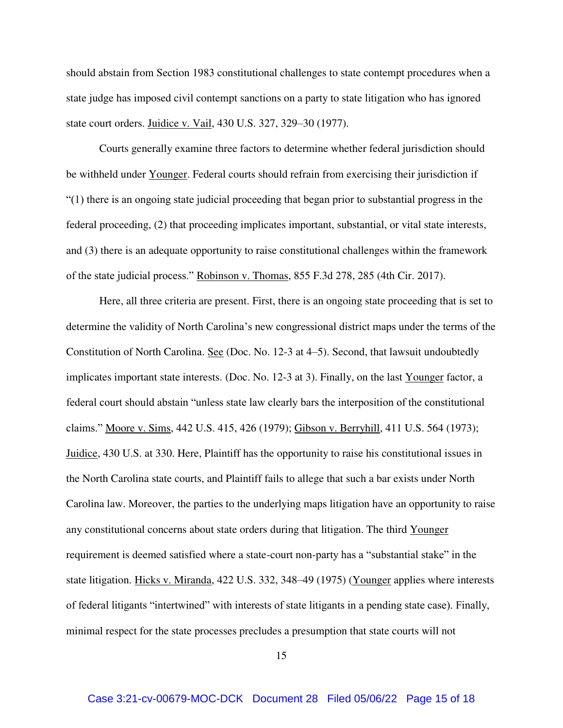should abstain from Section 1983 constitutional challenges to state contempt procedures when a state judge has imposed civil contempt sanctions on a party to state litigation who has ignored state court orders. Juidice v. Vail, 430 U.S. 327, 329–30 (1977).

Courts generally examine three factors to determine whether federal jurisdiction should be withheld under Younger. Federal courts should refrain from exercising their jurisdiction if "(1) there is an ongoing state judicial proceeding that began prior to substantial progress in the federal proceeding, (2) that proceeding implicates important, substantial, or vital state interests, and (3) there is an adequate opportunity to raise constitutional challenges within the framework of the state judicial process." Robinson v. Thomas, 855 F.3d 278, 285 (4th Cir. 2017).

Here, all three criteria are present. First, there is an ongoing state proceeding that is set to determine the validity of North Carolina's new congressional district maps under the terms of the Constitution of North Carolina. See (Doc. No. 12-3 at 4–5). Second, that lawsuit undoubtedly implicates important state interests. (Doc. No. 12-3 at 3). Finally, on the last Younger factor, a federal court should abstain "unless state law clearly bars the interposition of the constitutional claims." Moore v. Sims, 442 U.S. 415, 426 (1979); Gibson v. Berryhill, 411 U.S. 564 (1973); Juidice, 430 U.S. at 330. Here, Plaintiff has the opportunity to raise his constitutional issues in the North Carolina state courts, and Plaintiff fails to allege that such a bar exists under North Carolina law. Moreover, the parties to the underlying maps litigation have an opportunity to raise any constitutional concerns about state orders during that litigation. The third Younger requirement is deemed satisfied where a state-court non-party has a "substantial stake" in the state litigation. Hicks v. Miranda, 422 U.S. 332, 348–49 (1975) (Younger applies where interests of federal litigants "intertwined" with interests of state litigants in a pending state case). Finally, minimal respect for the state processes precludes a presumption that state courts will not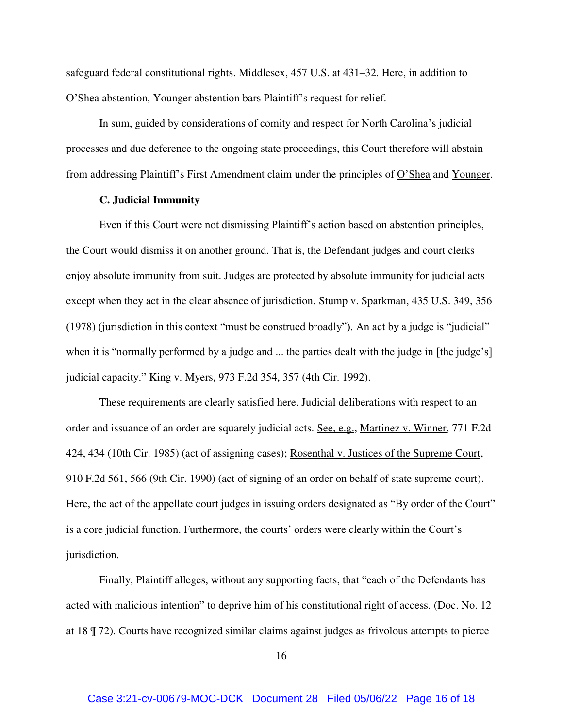safeguard federal constitutional rights. Middlesex, 457 U.S. at 431–32. Here, in addition to O'Shea abstention, Younger abstention bars Plaintiff's request for relief.

In sum, guided by considerations of comity and respect for North Carolina's judicial processes and due deference to the ongoing state proceedings, this Court therefore will abstain from addressing Plaintiff's First Amendment claim under the principles of O'Shea and Younger.

# **C. Judicial Immunity**

Even if this Court were not dismissing Plaintiff's action based on abstention principles, the Court would dismiss it on another ground. That is, the Defendant judges and court clerks enjoy absolute immunity from suit. Judges are protected by absolute immunity for judicial acts except when they act in the clear absence of jurisdiction. Stump v. Sparkman, 435 U.S. 349, 356 (1978) (jurisdiction in this context "must be construed broadly"). An act by a judge is "judicial" when it is "normally performed by a judge and ... the parties dealt with the judge in [the judge's] judicial capacity." King v. Myers, 973 F.2d 354, 357 (4th Cir. 1992).

These requirements are clearly satisfied here. Judicial deliberations with respect to an order and issuance of an order are squarely judicial acts. See, e.g., Martinez v. Winner, 771 F.2d 424, 434 (10th Cir. 1985) (act of assigning cases); Rosenthal v. Justices of the Supreme Court, 910 F.2d 561, 566 (9th Cir. 1990) (act of signing of an order on behalf of state supreme court). Here, the act of the appellate court judges in issuing orders designated as "By order of the Court" is a core judicial function. Furthermore, the courts' orders were clearly within the Court's jurisdiction.

Finally, Plaintiff alleges, without any supporting facts, that "each of the Defendants has acted with malicious intention" to deprive him of his constitutional right of access. (Doc. No. 12 at 18 ¶ 72). Courts have recognized similar claims against judges as frivolous attempts to pierce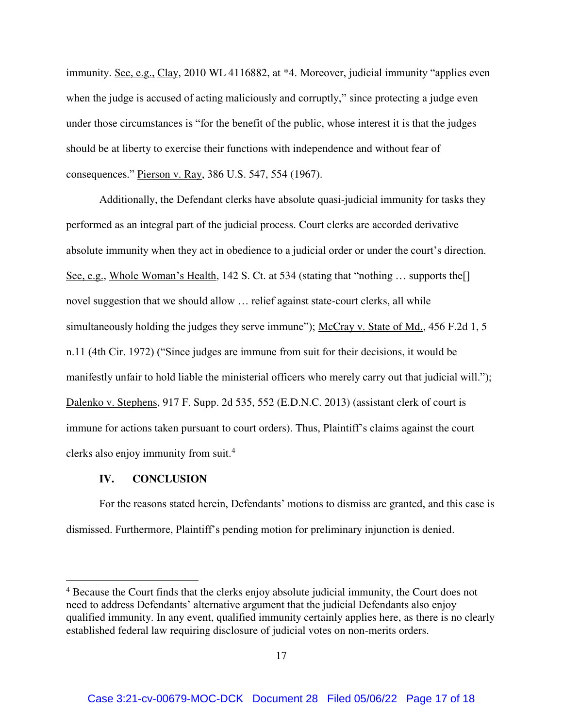immunity. See, e.g., Clay, 2010 WL 4116882, at \*4. Moreover, judicial immunity "applies even when the judge is accused of acting maliciously and corruptly," since protecting a judge even under those circumstances is "for the benefit of the public, whose interest it is that the judges should be at liberty to exercise their functions with independence and without fear of consequences." Pierson v. Ray, 386 U.S. 547, 554 (1967).

Additionally, the Defendant clerks have absolute quasi-judicial immunity for tasks they performed as an integral part of the judicial process. Court clerks are accorded derivative absolute immunity when they act in obedience to a judicial order or under the court's direction. See, e.g., Whole Woman's Health, 142 S. Ct. at 534 (stating that "nothing ... supports the novel suggestion that we should allow … relief against state-court clerks, all while simultaneously holding the judges they serve immune"); McCray v. State of Md., 456 F.2d 1, 5 n.11 (4th Cir. 1972) ("Since judges are immune from suit for their decisions, it would be manifestly unfair to hold liable the ministerial officers who merely carry out that judicial will."); Dalenko v. Stephens, 917 F. Supp. 2d 535, 552 (E.D.N.C. 2013) (assistant clerk of court is immune for actions taken pursuant to court orders). Thus, Plaintiff's claims against the court clerks also enjoy immunity from suit.<sup>4</sup>

## **IV. CONCLUSION**

 $\overline{a}$ 

For the reasons stated herein, Defendants' motions to dismiss are granted, and this case is dismissed. Furthermore, Plaintiff's pending motion for preliminary injunction is denied.

<sup>&</sup>lt;sup>4</sup> Because the Court finds that the clerks enjoy absolute judicial immunity, the Court does not need to address Defendants' alternative argument that the judicial Defendants also enjoy qualified immunity. In any event, qualified immunity certainly applies here, as there is no clearly established federal law requiring disclosure of judicial votes on non-merits orders.